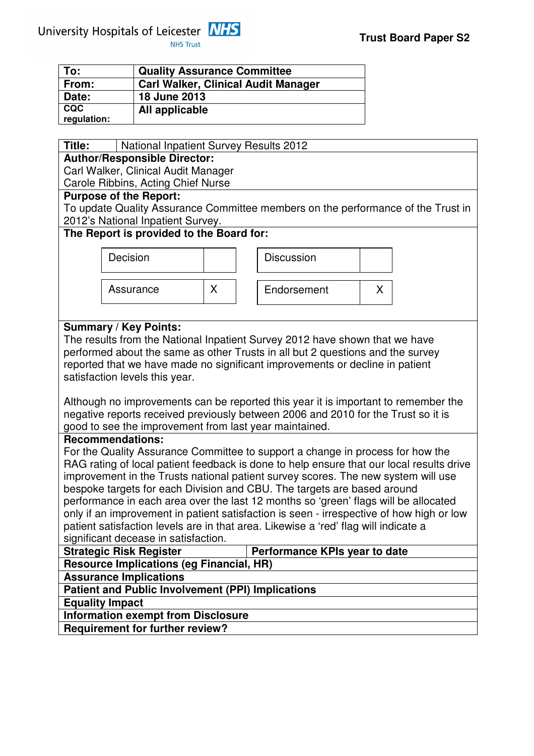

| To:         | <b>Quality Assurance Committee</b>         |
|-------------|--------------------------------------------|
| From:       | <b>Carl Walker, Clinical Audit Manager</b> |
| Date:       | 18 June 2013                               |
| <b>CQC</b>  | All applicable                             |
| regulation: |                                            |

| Title:                                   | National Inpatient Survey Results 2012                                           |   |                                                                                          |   |  |  |  |  |  |  |  |
|------------------------------------------|----------------------------------------------------------------------------------|---|------------------------------------------------------------------------------------------|---|--|--|--|--|--|--|--|
| <b>Author/Responsible Director:</b>      |                                                                                  |   |                                                                                          |   |  |  |  |  |  |  |  |
| Carl Walker, Clinical Audit Manager      |                                                                                  |   |                                                                                          |   |  |  |  |  |  |  |  |
| Carole Ribbins, Acting Chief Nurse       |                                                                                  |   |                                                                                          |   |  |  |  |  |  |  |  |
| <b>Purpose of the Report:</b>            |                                                                                  |   |                                                                                          |   |  |  |  |  |  |  |  |
|                                          | To update Quality Assurance Committee members on the performance of the Trust in |   |                                                                                          |   |  |  |  |  |  |  |  |
| 2012's National Inpatient Survey.        |                                                                                  |   |                                                                                          |   |  |  |  |  |  |  |  |
| The Report is provided to the Board for: |                                                                                  |   |                                                                                          |   |  |  |  |  |  |  |  |
|                                          | Decision                                                                         |   | <b>Discussion</b>                                                                        |   |  |  |  |  |  |  |  |
|                                          |                                                                                  |   |                                                                                          |   |  |  |  |  |  |  |  |
|                                          |                                                                                  |   |                                                                                          |   |  |  |  |  |  |  |  |
|                                          | Assurance                                                                        | X | Endorsement                                                                              | X |  |  |  |  |  |  |  |
|                                          |                                                                                  |   |                                                                                          |   |  |  |  |  |  |  |  |
|                                          | <b>Summary / Key Points:</b>                                                     |   |                                                                                          |   |  |  |  |  |  |  |  |
|                                          |                                                                                  |   | The results from the National Inpatient Survey 2012 have shown that we have              |   |  |  |  |  |  |  |  |
|                                          |                                                                                  |   | performed about the same as other Trusts in all but 2 questions and the survey           |   |  |  |  |  |  |  |  |
|                                          |                                                                                  |   | reported that we have made no significant improvements or decline in patient             |   |  |  |  |  |  |  |  |
|                                          | satisfaction levels this year.                                                   |   |                                                                                          |   |  |  |  |  |  |  |  |
|                                          |                                                                                  |   |                                                                                          |   |  |  |  |  |  |  |  |
|                                          |                                                                                  |   | Although no improvements can be reported this year it is important to remember the       |   |  |  |  |  |  |  |  |
|                                          |                                                                                  |   | negative reports received previously between 2006 and 2010 for the Trust so it is        |   |  |  |  |  |  |  |  |
|                                          | good to see the improvement from last year maintained.                           |   |                                                                                          |   |  |  |  |  |  |  |  |
|                                          | <b>Recommendations:</b>                                                          |   |                                                                                          |   |  |  |  |  |  |  |  |
|                                          |                                                                                  |   | For the Quality Assurance Committee to support a change in process for how the           |   |  |  |  |  |  |  |  |
|                                          |                                                                                  |   | RAG rating of local patient feedback is done to help ensure that our local results drive |   |  |  |  |  |  |  |  |
|                                          |                                                                                  |   | improvement in the Trusts national patient survey scores. The new system will use        |   |  |  |  |  |  |  |  |
|                                          |                                                                                  |   | bespoke targets for each Division and CBU. The targets are based around                  |   |  |  |  |  |  |  |  |
|                                          |                                                                                  |   | performance in each area over the last 12 months so 'green' flags will be allocated      |   |  |  |  |  |  |  |  |
|                                          |                                                                                  |   | only if an improvement in patient satisfaction is seen - irrespective of how high or low |   |  |  |  |  |  |  |  |
|                                          |                                                                                  |   | patient satisfaction levels are in that area. Likewise a 'red' flag will indicate a      |   |  |  |  |  |  |  |  |
|                                          | significant decease in satisfaction.<br><b>Strategic Risk Register</b>           |   | Performance KPIs year to date                                                            |   |  |  |  |  |  |  |  |
|                                          | <b>Resource Implications (eg Financial, HR)</b>                                  |   |                                                                                          |   |  |  |  |  |  |  |  |
|                                          | <b>Assurance Implications</b>                                                    |   |                                                                                          |   |  |  |  |  |  |  |  |
|                                          | <b>Patient and Public Involvement (PPI) Implications</b>                         |   |                                                                                          |   |  |  |  |  |  |  |  |
|                                          | <b>Equality Impact</b>                                                           |   |                                                                                          |   |  |  |  |  |  |  |  |
|                                          | <b>Information exempt from Disclosure</b>                                        |   |                                                                                          |   |  |  |  |  |  |  |  |
|                                          | <b>Requirement for further review?</b>                                           |   |                                                                                          |   |  |  |  |  |  |  |  |
|                                          |                                                                                  |   |                                                                                          |   |  |  |  |  |  |  |  |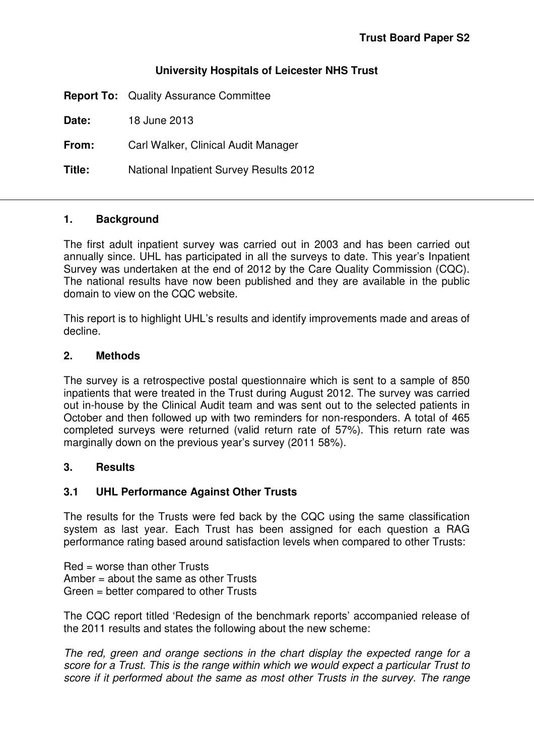# **University Hospitals of Leicester NHS Trust**

**Report To:** Quality Assurance Committee

**Date:** 18 June 2013

**From:** Carl Walker, Clinical Audit Manager

**Title:** National Inpatient Survey Results 2012

## **1. Background**

The first adult inpatient survey was carried out in 2003 and has been carried out annually since. UHL has participated in all the surveys to date. This year's Inpatient Survey was undertaken at the end of 2012 by the Care Quality Commission (CQC). The national results have now been published and they are available in the public domain to view on the CQC website.

This report is to highlight UHL's results and identify improvements made and areas of decline.

### **2. Methods**

The survey is a retrospective postal questionnaire which is sent to a sample of 850 inpatients that were treated in the Trust during August 2012. The survey was carried out in-house by the Clinical Audit team and was sent out to the selected patients in October and then followed up with two reminders for non-responders. A total of 465 completed surveys were returned (valid return rate of 57%). This return rate was marginally down on the previous year's survey (2011 58%).

## **3. Results**

## **3.1 UHL Performance Against Other Trusts**

The results for the Trusts were fed back by the CQC using the same classification system as last year. Each Trust has been assigned for each question a RAG performance rating based around satisfaction levels when compared to other Trusts:

 $Red = worse than other Trusts$ Amber = about the same as other Trusts Green = better compared to other Trusts

The CQC report titled 'Redesign of the benchmark reports' accompanied release of the 2011 results and states the following about the new scheme:

The red, green and orange sections in the chart display the expected range for a score for a Trust. This is the range within which we would expect a particular Trust to score if it performed about the same as most other Trusts in the survey. The range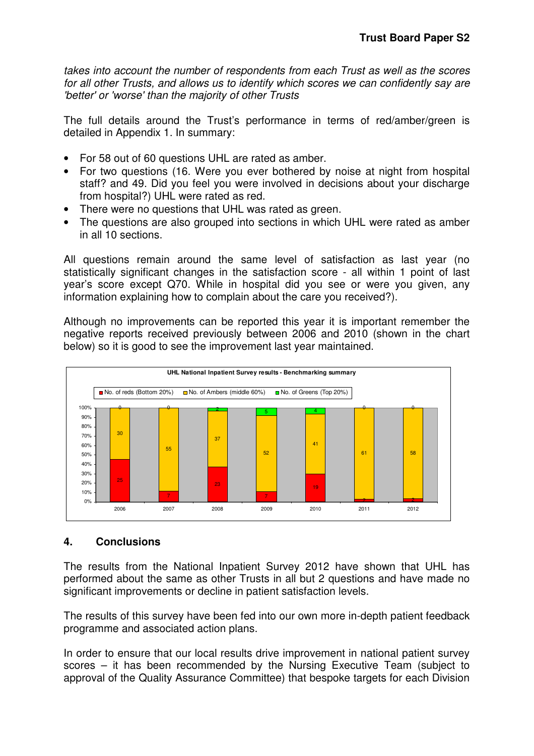takes into account the number of respondents from each Trust as well as the scores for all other Trusts, and allows us to identify which scores we can confidently say are 'better' or 'worse' than the majority of other Trusts

The full details around the Trust's performance in terms of red/amber/green is detailed in Appendix 1. In summary:

- For 58 out of 60 questions UHL are rated as amber.
- For two questions (16. Were you ever bothered by noise at night from hospital staff? and 49. Did you feel you were involved in decisions about your discharge from hospital?) UHL were rated as red.
- There were no questions that UHL was rated as green.
- The questions are also grouped into sections in which UHL were rated as amber in all 10 sections.

All questions remain around the same level of satisfaction as last year (no statistically significant changes in the satisfaction score - all within 1 point of last year's score except Q70. While in hospital did you see or were you given, any information explaining how to complain about the care you received?).

Although no improvements can be reported this year it is important remember the negative reports received previously between 2006 and 2010 (shown in the chart below) so it is good to see the improvement last year maintained.



# **4. Conclusions**

The results from the National Inpatient Survey 2012 have shown that UHL has performed about the same as other Trusts in all but 2 questions and have made no significant improvements or decline in patient satisfaction levels.

The results of this survey have been fed into our own more in-depth patient feedback programme and associated action plans.

In order to ensure that our local results drive improvement in national patient survey scores – it has been recommended by the Nursing Executive Team (subject to approval of the Quality Assurance Committee) that bespoke targets for each Division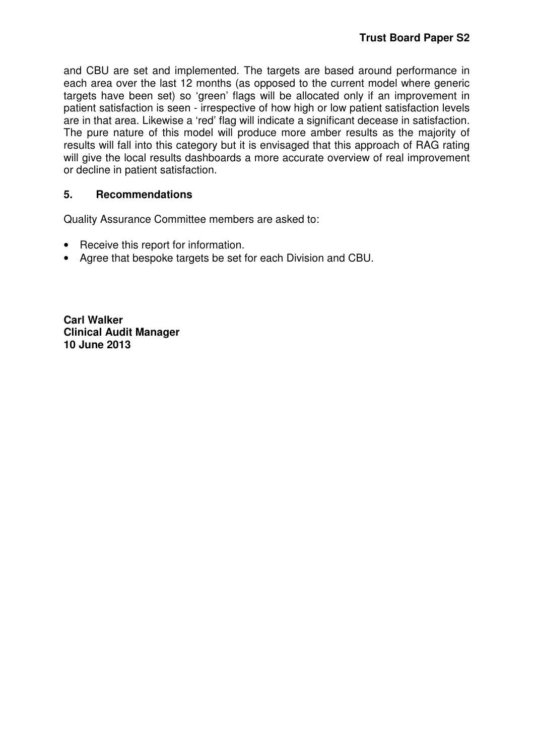and CBU are set and implemented. The targets are based around performance in each area over the last 12 months (as opposed to the current model where generic targets have been set) so 'green' flags will be allocated only if an improvement in patient satisfaction is seen - irrespective of how high or low patient satisfaction levels are in that area. Likewise a 'red' flag will indicate a significant decease in satisfaction. The pure nature of this model will produce more amber results as the majority of results will fall into this category but it is envisaged that this approach of RAG rating will give the local results dashboards a more accurate overview of real improvement or decline in patient satisfaction.

# **5. Recommendations**

Quality Assurance Committee members are asked to:

- Receive this report for information.
- Agree that bespoke targets be set for each Division and CBU.

**Carl Walker Clinical Audit Manager 10 June 2013**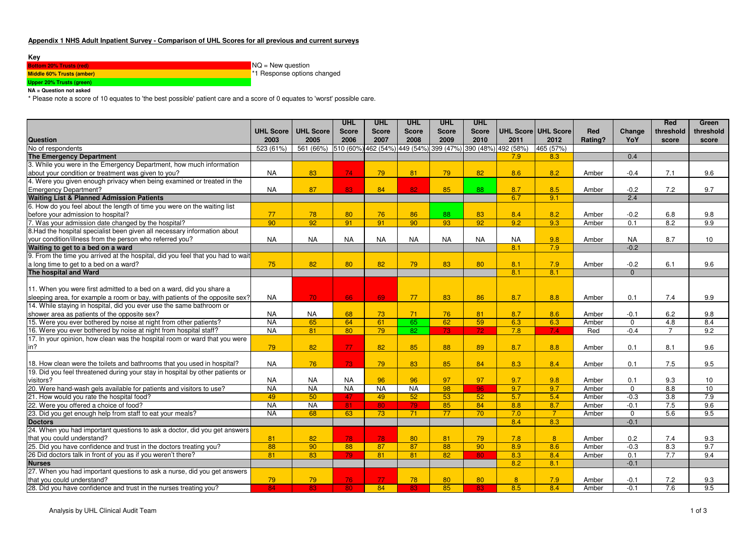### **Appendix 1 NHS Adult Inpatient Survey - Comparison of UHL Scores for all previous and current surveys**

#### **Key**

| <b>Bottom 20% Trusts (red)</b> | $NQ = New question$                     |
|--------------------------------|-----------------------------------------|
| Middle 60% Trusts (amber)      | <sup>*</sup> 1 Response options changed |
| Upper 20% Trusts (green)       |                                         |

**NA = Question not asked**

\* Please note a score of 10 equates to 'the best possible' patient care and a score of 0 equates to 'worst' possible care.

|                                                                                 |           |                       | <b>UHL</b>   | <b>UHL</b>   | <b>UHL</b>      | <b>UHL</b>   | <b>UHL</b>          |           |                     |         |                  | Red            | Green           |
|---------------------------------------------------------------------------------|-----------|-----------------------|--------------|--------------|-----------------|--------------|---------------------|-----------|---------------------|---------|------------------|----------------|-----------------|
|                                                                                 |           | UHL Score   UHL Score | <b>Score</b> | <b>Score</b> | <b>Score</b>    | <b>Score</b> | <b>Score</b>        |           | UHL Score UHL Score | Red     | Change           | threshold      | threshold       |
| <b>Question</b>                                                                 | 2003      | 2005                  | 2006         | 2007         | 2008            | 2009         | 2010                | 2011      | 2012                | Rating? | YoY              | score          | score           |
| No of respondents                                                               | 523 (61%) | 561 (66%)             | 510 (60%)    | 462 (54%     | 449 (54%)       | 399 (47%)    | 390 (48%) 492 (58%) |           | 465 (57%)           |         |                  |                |                 |
| The Emergency Department                                                        |           |                       |              |              |                 |              |                     | 7.9       | 8.3                 |         | 0.4              |                |                 |
| 3. While you were in the Emergency Department, how much information             |           |                       |              |              |                 |              |                     |           |                     |         |                  |                |                 |
| about your condition or treatment was given to you?                             | <b>NA</b> | 83                    | 74           | 79           | 81              | 79           | 82                  | 8.6       | 8.2                 | Amber   | $-0.4$           | 7.1            | 9.6             |
| 4. Were you given enough privacy when being examined or treated in the          |           |                       |              |              |                 |              |                     |           |                     |         |                  |                |                 |
| <b>Emergency Department?</b>                                                    | <b>NA</b> | 87                    | 83           | 84           | 82              | 85           | 88                  | 8.7       | 8.5                 | Amber   | $-0.2$           | 7.2            | 9.7             |
| <b>Waiting List &amp; Planned Admission Patients</b>                            |           |                       |              |              |                 |              |                     | 6.7       | 9.1                 |         | 2.4              |                |                 |
| 6. How do you feel about the length of time you were on the waiting list        |           |                       |              |              |                 |              |                     |           |                     |         |                  |                |                 |
| before your admission to hospital?                                              | 77        | 78                    | 80           | 76           | 86              | 88           | 83                  | 8.4       | 8.2                 | Amber   | $-0.2$           | 6.8            | 9.8             |
| 7. Was your admission date changed by the hospital?                             | 90        | 92                    | 91           | 91           | 90              | 93           | 92                  | 9.2       | 9.3                 | Amber   | $\overline{0.1}$ | 8.2            | 9.9             |
| 8. Had the hospital specialist been given all necessary information about       |           |                       |              |              |                 |              |                     |           |                     |         |                  |                |                 |
| your condition/illness from the person who referred you?                        | <b>NA</b> | <b>NA</b>             | <b>NA</b>    | <b>NA</b>    | <b>NA</b>       | <b>NA</b>    | <b>NA</b>           | <b>NA</b> | 9.8                 | Amber   | <b>NA</b>        | 8.7            | 10              |
| Waiting to get to a bed on a ward                                               |           |                       |              |              |                 |              |                     | 8.1       | 7.9                 |         | $-0.2$           |                |                 |
| 9. From the time you arrived at the hospital, did you feel that you had to wait |           |                       |              |              |                 |              |                     |           |                     |         |                  |                |                 |
| a long time to get to a bed on a ward?                                          | 75        | 82                    | 80           | 82           | 79              | 83           | 80                  | 8.1       | 7.9                 | Amber   | $-0.2$           | 6.1            | 9.6             |
| The hospital and Ward                                                           |           |                       |              |              |                 |              |                     | 8.1       | 8.1                 |         | $\Omega$         |                |                 |
|                                                                                 |           |                       |              |              |                 |              |                     |           |                     |         |                  |                |                 |
| 11. When you were first admitted to a bed on a ward, did you share a            |           |                       |              |              |                 |              |                     |           |                     |         |                  |                |                 |
| sleeping area, for example a room or bay, with patients of the opposite sex?    | <b>NA</b> | 70                    | 66           | 69           | 77              | 83           | 86                  | 8.7       | 8.8                 | Amber   | 0.1              | 7.4            | 9.9             |
| 14. While staying in hospital, did you ever use the same bathroom or            |           |                       |              |              |                 |              |                     |           |                     |         |                  |                |                 |
| shower area as patients of the opposite sex?                                    | <b>NA</b> | <b>NA</b>             | 68           | 73           | 71              | 76           | 81                  | 8.7       | 8.6                 | Amber   | $-0.1$           | 6.2            | 9.8             |
| 15. Were you ever bothered by noise at night from other patients?               | <b>NA</b> | 65                    | 64           | 61           | 65              | 62           | 59                  | 6.3       | 6.3                 | Amber   | $\Omega$         | 4.8            | 8.4             |
| 16. Were you ever bothered by noise at night from hospital staff?               | <b>NA</b> | 81                    | 80           | 79           | $\overline{82}$ | 73           | $\overline{72}$     | 7.8       | 7.4                 | Red     | $-0.4$           | $\overline{7}$ | 9.2             |
| 17. In your opinion, how clean was the hospital room or ward that you were      |           |                       |              |              |                 |              |                     |           |                     |         |                  |                |                 |
| in?                                                                             | 79        | 82                    | 77           | 82           | 85              | 88           | 89                  | 8.7       | 8.8                 | Amber   | 0.1              | 8.1            | 9.6             |
|                                                                                 |           |                       |              |              |                 |              |                     |           |                     |         |                  |                |                 |
| 18. How clean were the toilets and bathrooms that you used in hospital?         | <b>NA</b> | 76                    | 73           | 79           | 83              | 85           | 84                  | 8.3       | 8.4                 | Amber   | 0.1              | 7.5            | 9.5             |
| 19. Did you feel threatened during your stay in hospital by other patients or   |           |                       |              |              |                 |              |                     |           |                     |         |                  |                |                 |
| visitors?                                                                       | <b>NA</b> | <b>NA</b>             | <b>NA</b>    | 96           | 96              | 97           | 97                  | 9.7       | 9.8                 | Amber   | 0.1              | 9.3            | 10              |
| 20. Were hand-wash gels available for patients and visitors to use?             | <b>NA</b> | <b>NA</b>             | <b>NA</b>    | <b>NA</b>    | <b>NA</b>       | 98           | 96                  | 9.7       | 9.7                 | Amber   | $\mathbf 0$      | 8.8            | $\overline{10}$ |
| 21. How would you rate the hospital food?                                       | 49        | 50                    | 47           | 49           | 52              | 53           | 52                  | 5.7       | 5.4                 | Amber   | $-0.3$           | 3.8            | 7.9             |
| 22. Were you offered a choice of food?                                          | <b>NA</b> | <b>NA</b>             | 81           | 80           | 79              | 85           | 84                  | 8.8       | 8.7                 | Amber   | $-0.1$           | 7.5            | 9.6             |
| 23. Did you get enough help from staff to eat your meals?                       | <b>NA</b> | 68                    | 63           | 73           | 71              | 77           | 70                  | 7.0       | $\overline{7}$      | Amber   | $\mathbf 0$      | 5.6            | 9.5             |
| <b>Doctors</b>                                                                  |           |                       |              |              |                 |              |                     | 8.4       | 8.3                 |         | $-0.1$           |                |                 |
| 24. When you had important questions to ask a doctor, did you get answers       |           |                       |              |              |                 |              |                     |           |                     |         |                  |                |                 |
| that you could understand?                                                      | 81        | 82                    | 78           | 78           | 80              | 81           | 79                  | 7.8       | 8 <sup>°</sup>      | Amber   | 0.2              | 7.4            | 9.3             |
| 25. Did you have confidence and trust in the doctors treating you?              | 88        | 90                    | 88           | 87           | 87              | 88           | 90                  | 8.9       | 8.6                 | Amber   | $-0.3$           | 8.3            | 9.7             |
| 26 Did doctors talk in front of you as if you weren't there?                    | 81        | 83                    | 79           | 81           | 81              | 82           | 80                  | 8.3       | 8.4                 | Amber   | 0.1              | 7.7            | 9.4             |
| <b>Nurses</b>                                                                   |           |                       |              |              |                 |              |                     | 8.2       | 8.1                 |         | $-0.1$           |                |                 |
| 27. When you had important questions to ask a nurse, did you get answers        |           |                       |              |              |                 |              |                     |           |                     |         |                  |                |                 |
| that you could understand?                                                      | 79        | 79                    | 76           | 77           | 78              | 80           | 80                  | 8         | 7.9                 | Amber   | $-0.1$           | 7.2            | 9.3             |
| 28. Did you have confidence and trust in the nurses treating you?               | 84        | 83                    | 80           | 84           | 83              | 85           | 83                  | 8.5       | 8.4                 | Amber   | $-0.1$           | 7.6            | 9.5             |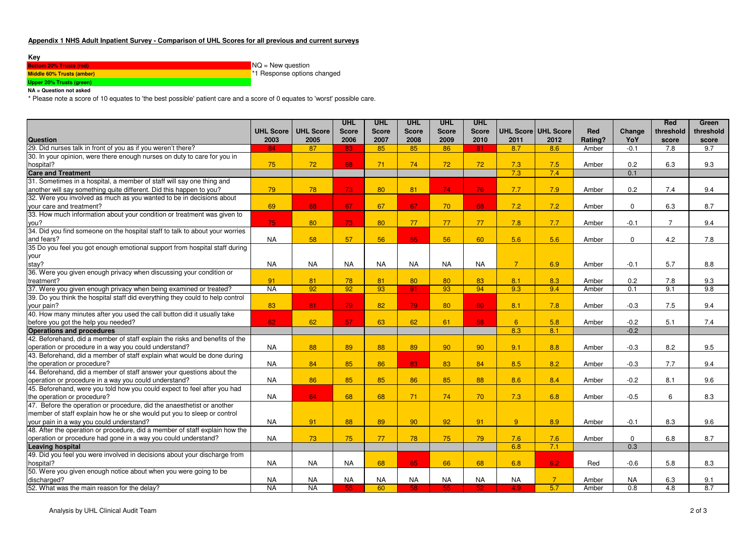### **Appendix 1 NHS Adult Inpatient Survey - Comparison of UHL Scores for all previous and current surveys**

#### **Key**

| <b>Bottom 20% Trusts (red)</b>   | $NQ = New question$         |
|----------------------------------|-----------------------------|
| <b>Middle 60% Trusts (amber)</b> | *1 Response options changed |
| Upper 20% Trusts (green)         |                             |

**NA = Question not asked**

\* Please note a score of 10 equates to 'the best possible' patient care and a score of 0 equates to 'worst' possible care.

|                                                                               |                  |                  | <b>UHL</b>   | <b>UHL</b>   | <b>UHL</b>   | <b>UHL</b>   | <b>UHL</b>   |                |                     |         |                  | Red            | Green     |
|-------------------------------------------------------------------------------|------------------|------------------|--------------|--------------|--------------|--------------|--------------|----------------|---------------------|---------|------------------|----------------|-----------|
|                                                                               | <b>UHL Score</b> | <b>UHL Score</b> | <b>Score</b> | <b>Score</b> | <b>Score</b> | <b>Score</b> | <b>Score</b> |                | UHL Score UHL Score | Red     | Change           | threshold      | threshold |
| <b>Question</b>                                                               | 2003             | 2005             | 2006         | 2007         | 2008         | 2009         | 2010         | 2011           | 2012                | Rating? | YoY              | score          | score     |
| 29. Did nurses talk in front of you as if you weren't there?                  | 84               | 87               | 83           | 85           | 85           | 86           | 81           | 8.7            | 8.6                 | Amber   | $-0.1$           | 7.8            | 9.7       |
| 30. In your opinion, were there enough nurses on duty to care for you in      |                  |                  |              |              |              |              |              |                |                     |         |                  |                |           |
| hospital?                                                                     | 75               | 72               | 68           | 71           | 74           | 72           | 72           | 7.3            | 7.5                 | Amber   | 0.2              | 6.3            | 9.3       |
| <b>Care and Treatment</b>                                                     |                  |                  |              |              |              |              |              | 7.3            | 7.4                 |         | 0.1              |                |           |
| 31. Sometimes in a hospital, a member of staff will say one thing and         |                  |                  |              |              |              |              |              |                |                     |         |                  |                |           |
| another will say something quite different. Did this happen to you?           | 79               | 78               | 73           | 80           | 81           | 74           | 76           | 7.7            | 7.9                 | Amber   | 0.2              | 7.4            | 9.4       |
| 32. Were you involved as much as you wanted to be in decisions about          |                  |                  |              |              |              |              |              |                |                     |         |                  |                |           |
| vour care and treatment?                                                      | 69               | 68               | 67           | 67           | 67           | 70           | 68           | 7.2            | 7.2                 | Amber   | $\mathbf 0$      | 6.3            | 8.7       |
| 33. How much information about your condition or treatment was given to       |                  |                  |              |              |              |              |              |                |                     |         |                  |                |           |
| you?                                                                          | 75               | 80               | 73           | 80           | 77           | 77           | 77           | 7.8            | 7.7                 | Amber   | $-0.1$           | $\overline{7}$ | 9.4       |
| 34. Did you find someone on the hospital staff to talk to about your worries  |                  |                  |              |              |              |              |              |                |                     |         |                  |                |           |
| and fears?                                                                    | <b>NA</b>        | 58               | 57           | 56           | 55           | 56           | 60           | 5.6            | 5.6                 | Amber   | 0                | 4.2            | 7.8       |
| 35 Do you feel you got enough emotional support from hospital staff during    |                  |                  |              |              |              |              |              |                |                     |         |                  |                |           |
| your                                                                          |                  |                  |              |              |              |              |              |                |                     |         |                  |                |           |
| stay?                                                                         | <b>NA</b>        | <b>NA</b>        | <b>NA</b>    | <b>NA</b>    | <b>NA</b>    | <b>NA</b>    | <b>NA</b>    | $\overline{7}$ | 6.9                 | Amber   | $-0.1$           | 5.7            | 8.8       |
| 36. Were you given enough privacy when discussing your condition or           |                  |                  |              |              |              |              |              |                |                     |         |                  |                |           |
| treatment?                                                                    | 91               | 81               | 78           | 81           | 80           | 80           | 83           | 8.1            | 8.3                 | Amber   | 0.2              | 7.8            | 9.3       |
| 37. Were you given enough privacy when being examined or treated?             | <b>NA</b>        | 92               | 92           | 93           | 91           | 93           | 94           | 9.3            | 9.4                 | Amber   | 0.1              | 9.1            | 9.8       |
| 39. Do you think the hospital staff did everything they could to help control |                  |                  |              |              |              |              |              |                |                     |         |                  |                |           |
| your pain?                                                                    | 83               | 81               | 79           | 82           | 79           | 80           | 80           | 8.1            | 7.8                 | Amber   | $-0.3$           | 7.5            | 9.4       |
| 40. How many minutes after you used the call button did it usually take       |                  |                  |              |              |              |              |              |                |                     |         |                  |                |           |
| before you got the help you needed?                                           | 62               | 62               | 57           | 63           | 62           | 61           | 58           | 6 <sup>°</sup> | 5.8                 | Amber   | $-0.2$           | 5.1            | 7.4       |
| <b>Operations and procedures</b>                                              |                  |                  |              |              |              |              |              | 8.3            | 8.1                 |         | $-0.2$           |                |           |
| 42. Beforehand, did a member of staff explain the risks and benefits of the   |                  |                  |              |              |              |              |              |                |                     |         |                  |                |           |
| operation or procedure in a way you could understand?                         | <b>NA</b>        | 88               | 89           | 88           | 89           | 90           | 90           | 9.1            | 8.8                 | Amber   | $-0.3$           | 8.2            | 9.5       |
| 43. Beforehand, did a member of staff explain what would be done during       |                  |                  |              |              |              |              |              |                |                     |         |                  |                |           |
| the operation or procedure?                                                   | <b>NA</b>        | 84               | 85           | 86           | 83           | 83           | 84           | 8.5            | 8.2                 | Amber   | $-0.3$           | 7.7            | 9.4       |
| 44. Beforehand, did a member of staff answer your questions about the         |                  |                  |              |              |              |              |              |                |                     |         |                  |                |           |
| operation or procedure in a way you could understand?                         | <b>NA</b>        | 86               | 85           | 85           | 86           | 85           | 88           | 8.6            | 8.4                 | Amber   | $-0.2$           | 8.1            | 9.6       |
| 45. Beforehand, were you told how you could expect to feel after you had      |                  |                  |              |              |              |              |              |                |                     |         |                  |                |           |
| the operation or procedure?                                                   | <b>NA</b>        | 64               | 68           | 68           | 71           | 74           | 70           | 7.3            | 6.8                 | Amber   | $-0.5$           | 6              | 8.3       |
| 47. Before the operation or procedure, did the anaesthetist or another        |                  |                  |              |              |              |              |              |                |                     |         |                  |                |           |
| member of staff explain how he or she would put you to sleep or control       |                  |                  |              |              |              |              |              |                |                     |         |                  |                |           |
| your pain in a way you could understand?                                      | <b>NA</b>        | 91               | 88           | 89           | 90           | 92           | 91           | 9              | 8.9                 | Amber   | $-0.1$           | 8.3            | 9.6       |
| 48. After the operation or procedure, did a member of staff explain how the   |                  |                  |              |              |              |              |              |                |                     |         |                  |                |           |
| operation or procedure had gone in a way you could understand?                | <b>NA</b>        | 73               | 75           | 77           | 78           | 75           | 79           | 7.6            | 7.6                 | Amber   | $\mathbf 0$      | 6.8            | 8.7       |
| <b>Leaving hospital</b>                                                       |                  |                  |              |              |              |              |              | 6.8            | 7.1                 |         | 0.3              |                |           |
| 49. Did you feel you were involved in decisions about your discharge from     |                  |                  |              |              |              |              |              |                |                     |         |                  |                |           |
| hospital?                                                                     | <b>NA</b>        | <b>NA</b>        | <b>NA</b>    | 68           | 65           | 66           | 68           | 6.8            | 6.2                 | Red     | $-0.6$           | 5.8            | 8.3       |
| 50. Were you given enough notice about when you were going to be              |                  |                  |              |              |              |              |              |                |                     |         |                  |                |           |
| discharged?                                                                   | <b>NA</b>        | <b>NA</b>        | <b>NA</b>    | <b>NA</b>    | <b>NA</b>    | <b>NA</b>    | <b>NA</b>    | <b>NA</b>      | $\overline{7}$      | Amber   | <b>NA</b>        | 6.3            | 9.1       |
| 52. What was the main reason for the delay?                                   | <b>NA</b>        | <b>NA</b>        | 55           | 60           | 58           | 55           | 52           | 4.9            | 5.7                 | Amber   | $\overline{0.8}$ | 4.8            | 8.7       |